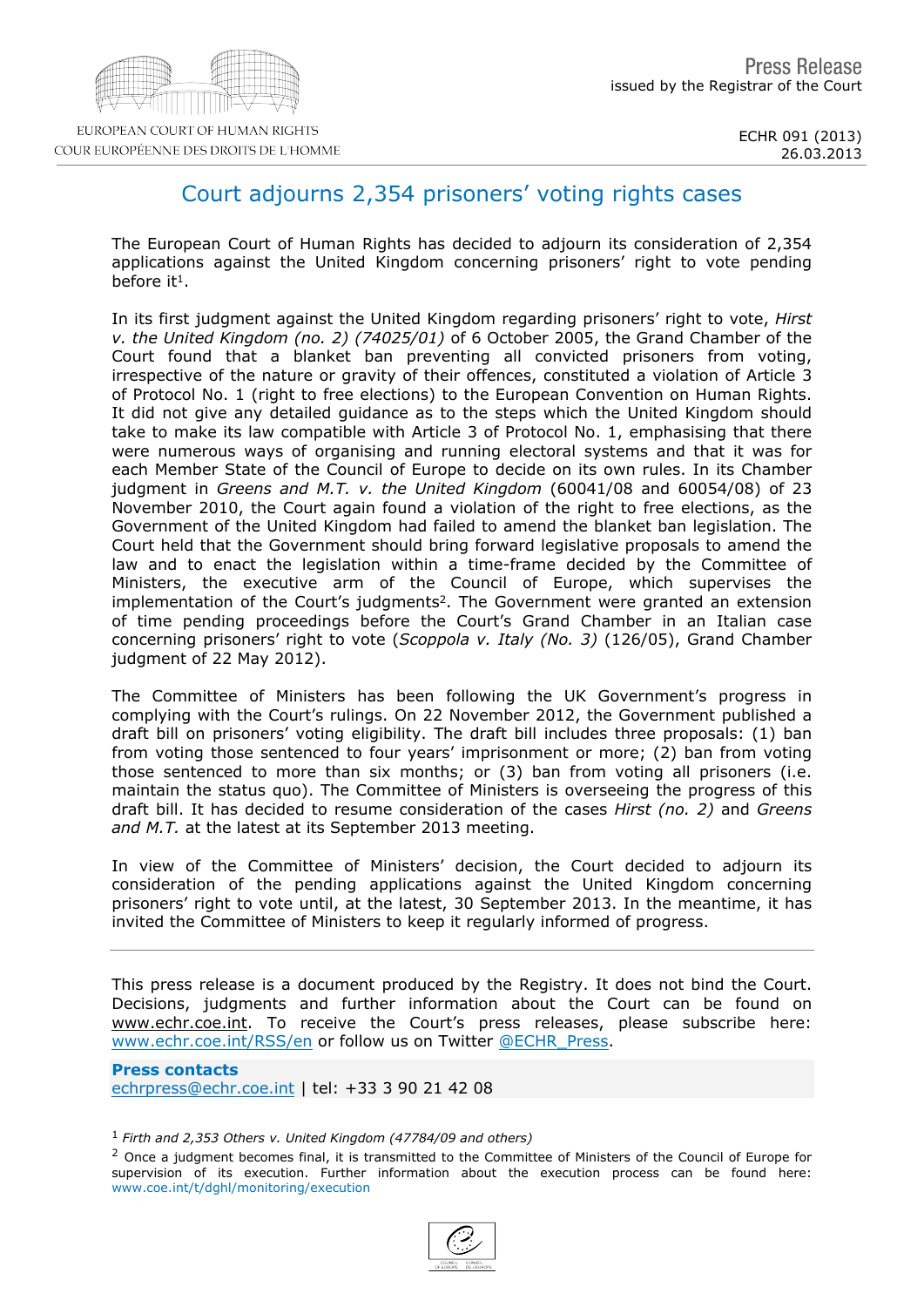## Court adjourns 2,354 prisoners' voting rights cases

The European Court of Human Rights has decided to adjourn its consideration of 2,354 applications against the United Kingdom concerning prisoners' right to vote pending before it <sup>1</sup>.

In its first judgment against the United Kingdom regarding prisoners' right to vote, Hirst v. the United Kingdom (no. 2) (74025/01) of 6 October 2005, the Grand Chamber of the Court found that a blanket ban preventing all convicted prisoners from voting, irrespective of the nature or gravity of their offences, constituted a violation of Article 3 of Protocol No. 1 (right to free elections) to the European Convention on Human Rights. It did not give any detailed guidance as to the steps which the United Kingdom should take to make its law compatible with Article 3 of Protocol No. 1, emphasising that there were numerous ways of organising and running electoral systems and that it was for each Member State of the Council of Europe to decide on its own rules. In its Chamber judgment in Greens and M.T. v. the United Kingdom (60041/08 and 60054/08) of 23 November 2010, the Court again found a violation of the right to free elections, as the Government of the United Kingdom had failed to amend the blanket ban legislation. The Court held that the Government should bring forward legislative proposals to amend the law and to enact the legislation within a time-frame decided by the Committee of Ministers, the executive arm of the Council of Europe, which supervises the implementation of the Court's judgments  $2$ . The Government were granted an extension of time pending proceedings before the Court's Grand Chamber in an Italian case concerning prisoners' right to vote (Scoppola v. Italy (No. 3) (126/05), Grand Chamber judgment of 22 May 2012).

The Committee of Ministers has been following the UK Government's progress in complying with the Court's rulings. On 22 November 2012, the Government published a draft bill on prisoners' voting eligibility. The draft bill includes three proposals: (1) ban from voting those sentenced to four years' imprisonment or more; (2) ban from voting those sentenced to more than six months; or (3) ban from voting all prisoners (i.e. maintain the status quo). The Committee of Ministers is overseeing the progress of this draft bill. It has decided to resume consideration of the cases Hirst (no. 2) and Greens and M.T. at the latest at its September 2013 meeting.

In view of the Committee of Ministers' decision, the Court decided to adjourn its consideration of the pending applications against the United Kingdom concerning prisoners' right to vote until, at the latest, 30 September 2013. In the meantime, it has invited the Committee of Ministers to keep it regularly informed of progress.

This press release is a document produced by the Registry. It does not bind the Court. Decisions, judgments and further information about the Court can be found on www.echr.coe.int. To receive the Court's press releases, please subscribe here: [www.echr.coe.int/RSS/en](http://www.echr.coe.int/RSS/en) or follow us on Twitter [@ECHR\\_Press.](https://twitter.com/ECHR_Press)

Press contacts [echrpress@echr.coe.int](mailto:Echrpress@echr.coe.int) | tel: +33 3 90 21 42 08

<sup>1</sup> Firth and 2,353 Others v. United Kingdom (47784/09 and others)

<sup>2</sup> Once a judgment becomes final, it is transmitted to the Committee of Ministers of the Council of Europe for supervision of its execution. Further information about the execution process can be found here: www.coe.int/t/dghl/monitoring/execution